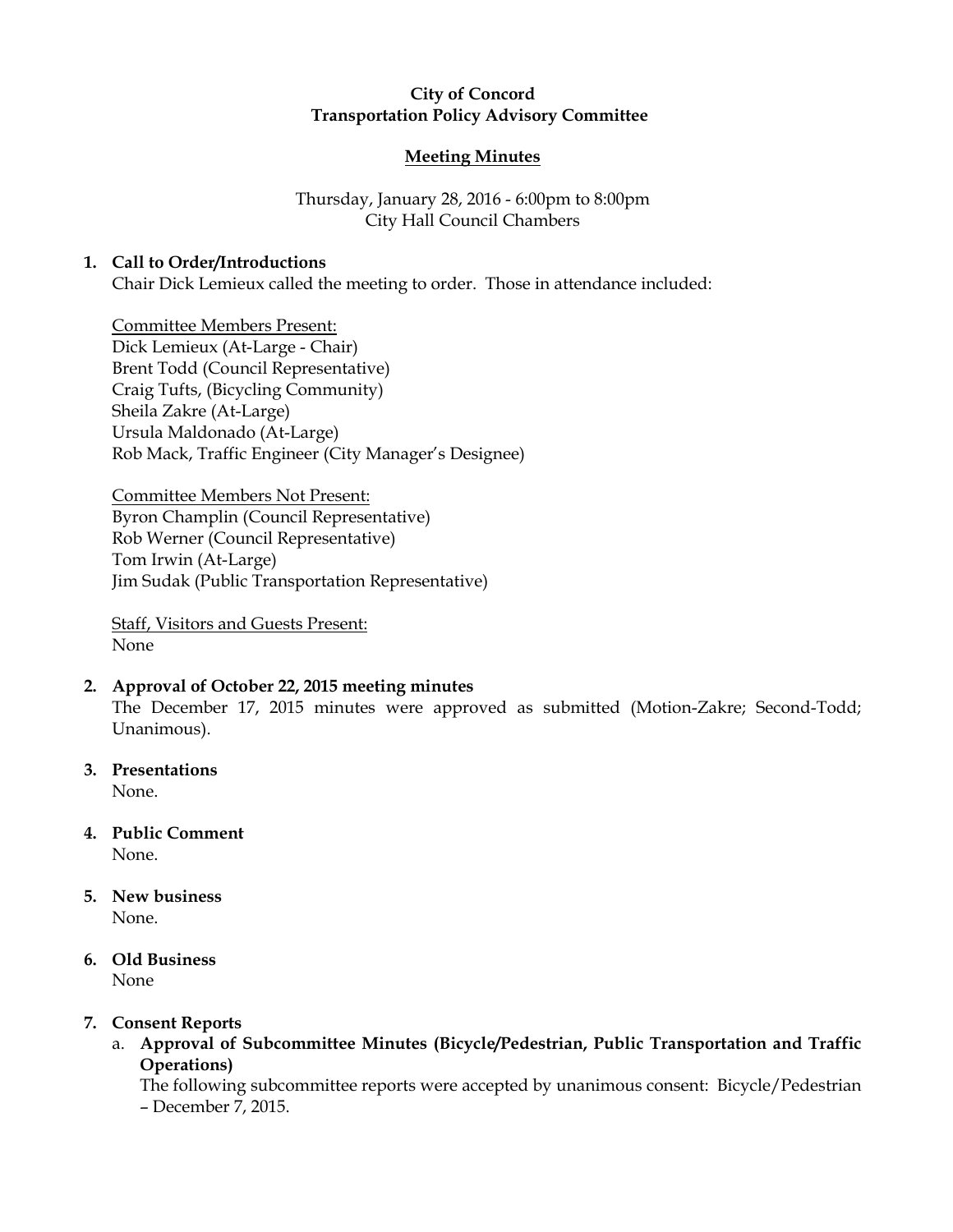# City of Concord Transportation Policy Advisory Committee

## Meeting Minutes

# Thursday, January 28, 2016 - 6:00pm to 8:00pm City Hall Council Chambers

## 1. Call to Order/Introductions

Chair Dick Lemieux called the meeting to order. Those in attendance included:

Committee Members Present: Dick Lemieux (At-Large - Chair) Brent Todd (Council Representative) Craig Tufts, (Bicycling Community) Sheila Zakre (At-Large) Ursula Maldonado (At-Large) Rob Mack, Traffic Engineer (City Manager's Designee)

Committee Members Not Present: Byron Champlin (Council Representative) Rob Werner (Council Representative) Tom Irwin (At-Large) Jim Sudak (Public Transportation Representative)

Staff, Visitors and Guests Present: None

## 2. Approval of October 22, 2015 meeting minutes

The December 17, 2015 minutes were approved as submitted (Motion-Zakre; Second-Todd; Unanimous).

3. Presentations

None.

- 4. Public Comment None.
- 5. New business None.
- 6. Old Business None

## 7. Consent Reports

a. Approval of Subcommittee Minutes (Bicycle/Pedestrian, Public Transportation and Traffic Operations)

The following subcommittee reports were accepted by unanimous consent: Bicycle/Pedestrian – December 7, 2015.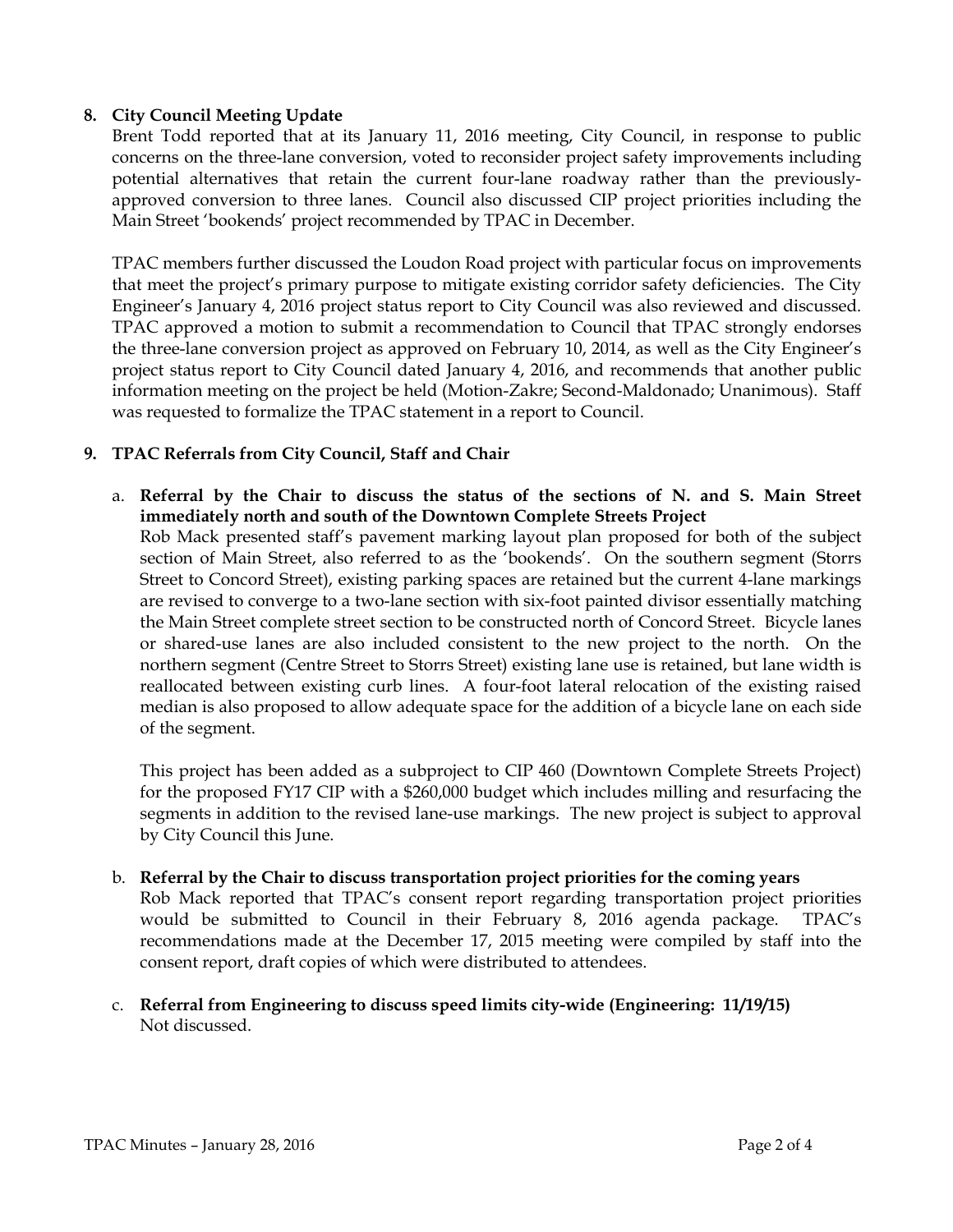# 8. City Council Meeting Update

Brent Todd reported that at its January 11, 2016 meeting, City Council, in response to public concerns on the three-lane conversion, voted to reconsider project safety improvements including potential alternatives that retain the current four-lane roadway rather than the previouslyapproved conversion to three lanes. Council also discussed CIP project priorities including the Main Street 'bookends' project recommended by TPAC in December.

TPAC members further discussed the Loudon Road project with particular focus on improvements that meet the project's primary purpose to mitigate existing corridor safety deficiencies. The City Engineer's January 4, 2016 project status report to City Council was also reviewed and discussed. TPAC approved a motion to submit a recommendation to Council that TPAC strongly endorses the three-lane conversion project as approved on February 10, 2014, as well as the City Engineer's project status report to City Council dated January 4, 2016, and recommends that another public information meeting on the project be held (Motion-Zakre; Second-Maldonado; Unanimous). Staff was requested to formalize the TPAC statement in a report to Council.

# 9. TPAC Referrals from City Council, Staff and Chair

a. Referral by the Chair to discuss the status of the sections of N. and S. Main Street immediately north and south of the Downtown Complete Streets Project

Rob Mack presented staff's pavement marking layout plan proposed for both of the subject section of Main Street, also referred to as the 'bookends'. On the southern segment (Storrs Street to Concord Street), existing parking spaces are retained but the current 4-lane markings are revised to converge to a two-lane section with six-foot painted divisor essentially matching the Main Street complete street section to be constructed north of Concord Street. Bicycle lanes or shared-use lanes are also included consistent to the new project to the north. On the northern segment (Centre Street to Storrs Street) existing lane use is retained, but lane width is reallocated between existing curb lines. A four-foot lateral relocation of the existing raised median is also proposed to allow adequate space for the addition of a bicycle lane on each side of the segment.

This project has been added as a subproject to CIP 460 (Downtown Complete Streets Project) for the proposed FY17 CIP with a \$260,000 budget which includes milling and resurfacing the segments in addition to the revised lane-use markings. The new project is subject to approval by City Council this June.

#### b. Referral by the Chair to discuss transportation project priorities for the coming years

Rob Mack reported that TPAC's consent report regarding transportation project priorities would be submitted to Council in their February 8, 2016 agenda package. TPAC's recommendations made at the December 17, 2015 meeting were compiled by staff into the consent report, draft copies of which were distributed to attendees.

c. Referral from Engineering to discuss speed limits city-wide (Engineering: 11/19/15) Not discussed.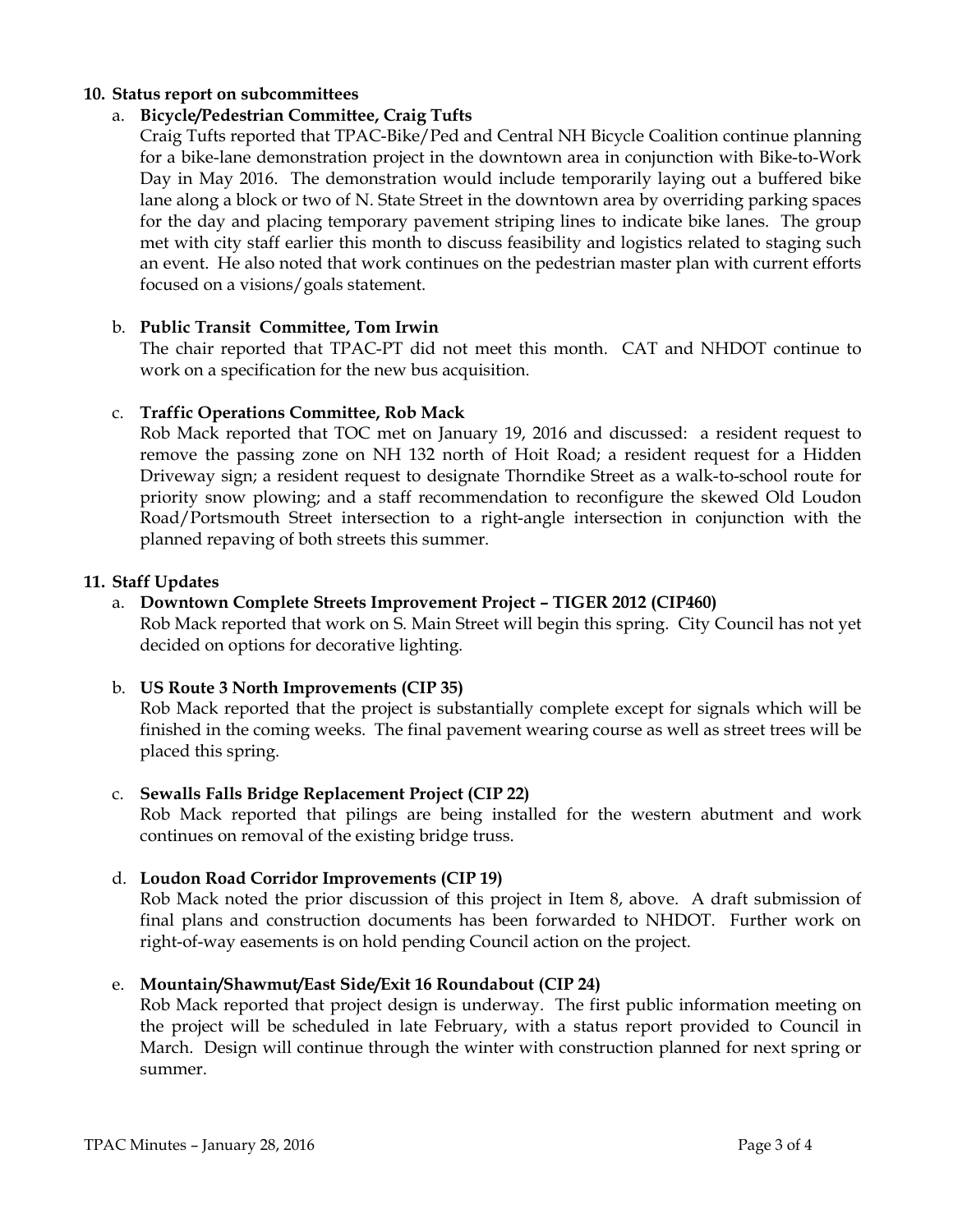### 10. Status report on subcommittees

### a. Bicycle/Pedestrian Committee, Craig Tufts

Craig Tufts reported that TPAC-Bike/Ped and Central NH Bicycle Coalition continue planning for a bike-lane demonstration project in the downtown area in conjunction with Bike-to-Work Day in May 2016. The demonstration would include temporarily laying out a buffered bike lane along a block or two of N. State Street in the downtown area by overriding parking spaces for the day and placing temporary pavement striping lines to indicate bike lanes. The group met with city staff earlier this month to discuss feasibility and logistics related to staging such an event. He also noted that work continues on the pedestrian master plan with current efforts focused on a visions/goals statement.

### b. Public Transit Committee, Tom Irwin

The chair reported that TPAC-PT did not meet this month. CAT and NHDOT continue to work on a specification for the new bus acquisition.

### c. Traffic Operations Committee, Rob Mack

Rob Mack reported that TOC met on January 19, 2016 and discussed: a resident request to remove the passing zone on NH 132 north of Hoit Road; a resident request for a Hidden Driveway sign; a resident request to designate Thorndike Street as a walk-to-school route for priority snow plowing; and a staff recommendation to reconfigure the skewed Old Loudon Road/Portsmouth Street intersection to a right-angle intersection in conjunction with the planned repaving of both streets this summer.

#### 11. Staff Updates

## a. Downtown Complete Streets Improvement Project – TIGER 2012 (CIP460)

Rob Mack reported that work on S. Main Street will begin this spring. City Council has not yet decided on options for decorative lighting.

#### b. US Route 3 North Improvements (CIP 35)

Rob Mack reported that the project is substantially complete except for signals which will be finished in the coming weeks. The final pavement wearing course as well as street trees will be placed this spring.

#### c. Sewalls Falls Bridge Replacement Project (CIP 22)

Rob Mack reported that pilings are being installed for the western abutment and work continues on removal of the existing bridge truss.

## d. Loudon Road Corridor Improvements (CIP 19)

Rob Mack noted the prior discussion of this project in Item 8, above. A draft submission of final plans and construction documents has been forwarded to NHDOT. Further work on right-of-way easements is on hold pending Council action on the project.

## e. Mountain/Shawmut/East Side/Exit 16 Roundabout (CIP 24)

Rob Mack reported that project design is underway. The first public information meeting on the project will be scheduled in late February, with a status report provided to Council in March. Design will continue through the winter with construction planned for next spring or summer.